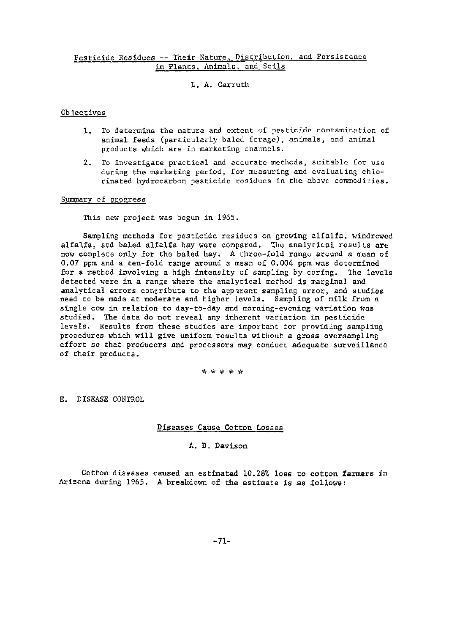# Pesticide Residues -- Their Nature, Distribution, and Persistence in Plants. Animals. and Soils

L. A. Carruth

### Obiectives

- 1. To determine the nature and extent of pesticide contamination of animal feeds (particularly baled forage), animals, und animal products which are in marketing channels.
- 2. To investigate practical and accurate methods, suitable for use during the marketing period, [or measuring and evaluating chlorinated hydrocarbon pesticide residues in the above commodities.

#### Summary o£ progress

This new project was begun in 1965.

Sampling methods for pesticide residues on growing alfalfa, windrowed alfalfa, and baled alfalfa hay were compared. The analytical results are now complete only for the baled hay. A three-fold range around a mean of 0.07 ppm and a ten-fold range around a mean of 0.004 ppm was determined for a method involving a high intensity of sampling by coring. The levels detected were in a range where the analytical method is marginal and analytical errors contribute to the apparent sampling error, and studies need to be made at moderate and higher levels. Sampling of milk from a single cow in relation to day-to-day and morning-evening variation was studied. The data do not reveal any inherent variation in pesticide levels. Results from these studies are important for providing sampling procedures which will give uniform results without a gross ovcrsampl ing effort so that producers and processors may conduct adequate surveillance of their products.

\* \* \* \* \*

E. DISEASE CONTROL

Diseases Cause Cotton Losses

A. D. Davison

Cotton diseases caused an estimated 10.28% loss to cotton farmers in Arizona during 1965. A breakdown of the estimate is as follows: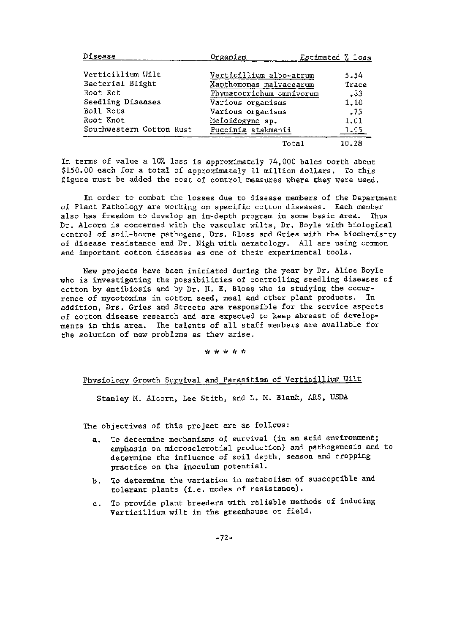| Disease                                     | Organism                 | Estimated % Loss |       |
|---------------------------------------------|--------------------------|------------------|-------|
|                                             |                          |                  |       |
| Verticillium Wilt                           | Verticillium albo-atrum  |                  | 5.54  |
| Bacterial Blight<br>Xanthomonas malvacearum |                          |                  | Trace |
| Root Rot                                    | Phymatotrichum omnivorum |                  | .33   |
| Seedling Diseases<br>Various organisms      |                          |                  | 1,10  |
| Boll Rots<br>Various organisms              |                          |                  | .75   |
| Root Knot                                   | Meloidogyne sp.          |                  | 1.01  |
| Southwestern Cotton Rust                    | Puccinia stakmanii       |                  | 1.05  |
|                                             | Total                    |                  | 10.28 |

In terms of value a 10% loss is approximately 74,000 bales worth about \$150.00 each for a total of approximately 11 million dollars. To this figure must be added the cost of control measures where they were used.

In order to combat the losses due to disease members of the Department of plant Pathology are working on specific cotton diseases. Each member also has freedom to develop an in-depth program in some basic area. Thus Dr. Alcorn is concerned with the vascular wilts, Dr. Boyle with biological control of soil-borne pathogens, Drs. Bloss and Gries with the biochemistry of disease resistance and Dr. Nigh with nematology. All are using common and important cotton diseases as one of their experimental tools.

New projects have been initiated during the year by Dr. Alice Boyle who is investigating the possibilities of controlling seedling diseases of cotton by antibiosis and by Dr. H. E. Bloss who is studying the occur-<br>rence of mycotoxins in cotton seed, meal and other plant products. In rence of mycotoxins in cotton seed, meal and other plant products. addition, Drs. Gries and Streets are responsible for the service aspects of cotton disease research and are expected to keep abreast of developments in this area. Ihe talents of all staff members are available for the solution of new problems as they arise.

#### \* \* \* \* \*

# Physiology Growth Survival and Parasitism of Verticillium Wilt

Stanley H:. Alcorn, Lee Stith, and L. M. Blank, *ARS,* USDA

The objectives of this project are as follows:

- a. To determine mechanisms of survival (in an arid environment; emphasis on microsclerotial production) and pathogenesis and to determine the influence of soil depth, season and cropping practice on the inoculum potential.
- b. To determine the variation in metabolism of susceptible and tolerant plants (i.e. modes of resistance).
- c. To provide plant breeders with reliable methods of inducing Verticillium wilt in the greenhouse or field.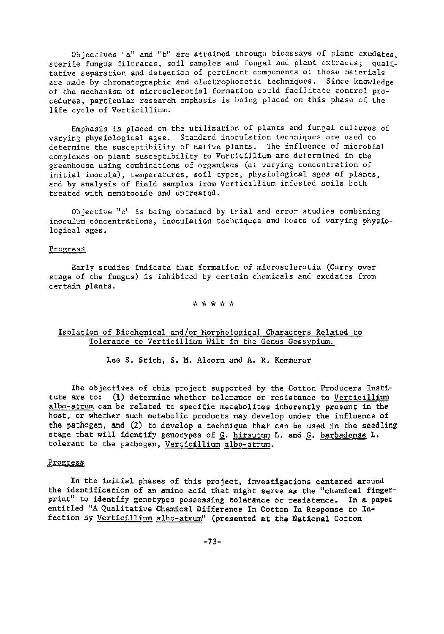Objectives 'a" and "b" are attained through bioassays of plant exudates, sterile fungus filtrates, soil samples and fungal and plant extracts; qualitative separation and detection of pertinent components of these materials are made by chromatographic and electrophoretic techniques. Since knowledge of the mechanism of microsclerotial formation could facilitate control procedures, particular research emphasis is being placed on this phase of the life cycle of Verticillium.

Emphasis is placed on the utilization of plants and fungal cultures of varying physiological ages. Standard inoculation techniques are used to determine the susceptibility of native plants. The influence of microblal complexes on plant susceptibility to Verticillium are determined in the greenhouse using combinations of organisms (at varying concentration of initial inocula), temperatures, soil types, physiological ages of plants, and by analysis of field samples from Verticillium infested soils both treated with nematocide and untreated.

Objective "c" is being obtained by trial and error studies combining inoculum concentrations, inoculation techniques and hosts of varying physiological ages.

### Progress

Early studies indicate that formation of microsclerotia (Carry over stage of the fungus) is inhibited by certain chemicals and exudates from certain plants.

### \* \* \* \* \*

# Isolation of Biochemical and/or Horphological Characters Related to Tolerance to Verticillium Nilt in the Genus Gossypium.

Lee S. Stith, S. M. Alcorn and A. R. Kemmerer

Ihe objectives of this project supported by the Cotton Producers Institute are to: (1) determine whether tolerance or resistance to Verticillium albo-atrum can be related to specific metabolites inherently present in the host, or whether such metabolic products may develop under the influence of the pathogen, and (2) to develop a technique that can be used in the seedling stage that will identify genotypes of G. hirsutum L. and G. barbadense L. tolerant to the pathogen, Verticillium albo-atrum.

# Progress

In the initial phases of this project. investigations centered around the identification of an amino acid that might serve as the "chemical fingerprint" to identify genotypes possessing tolerance or resistance. In a paper entitled "A Qualitative Chemical Difference In Cotton In Response to Infection By Verticillium albo-atrum" (presented at the National Cotton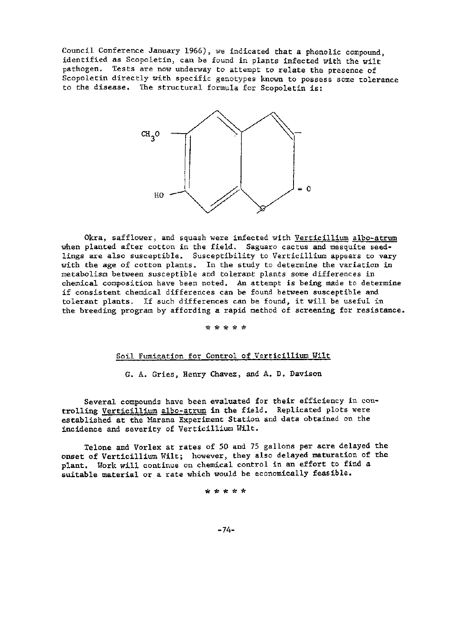Council Conference January 1966), we indicated that a phenolic compound, identified as Scopoletin, can be found in plants infected with the wilt pathogen. Tests are now underway to attempt to relate the presence of Scopoletin directly with specific genotypes known to possess some tolerance to the disease. The structural formula for Scopoletin is:



Okra, safflower, and squash were infected with Verticillium albo-atrum when planted after cotton in the field. Saguaro cactus and mesquite seedlings are also susceptible. Susceptibility to Verticillium appears to vary with the age of cotton plants. In the study to determine the variation in metabolism between susceptible and tolerant plants some differences in chemical composition have been noted. An attempt is being made to determine if consistent chemical differences can be found between susceptible and tolerant plants. If such differences can be found, it will be useful in the breeding program by affording a rapid method of screening for resistance.

\* \* \* \* \*

# Soil Fumigation for Control of Verticillium Wilt

G. A. Gries, Henry Chavez, and A. D. Davison

Several compounds have been evaluated for their efficiency in controlling Verticillium albo~atrum in the field. Replicated plots were established at the Marana Experiment Station and data obtained on the incidence and severity of Verticillium Wilt.

Telone and Vorlex at rates of 50 and 75 gallons per acre delayed the onset of Verticillium Wilt; however, they also delayed maturation of the plant. Work will continue on chemical control in an effort to find a suitable material or a rate which would be economically feasible.

\* '\* \* \* \*

-74-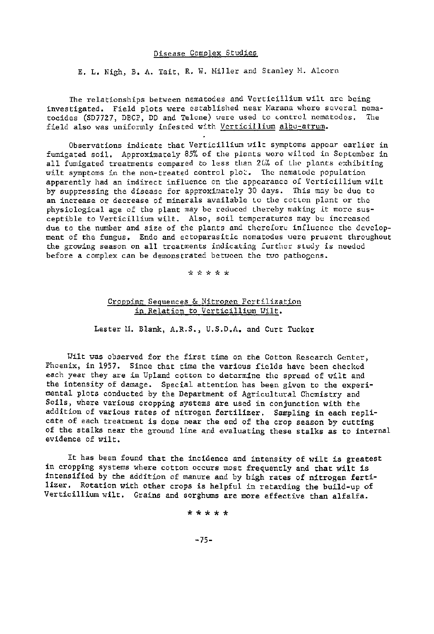#### Disease Complex Studies

E. L. Nigh, B. A. Tait, R. W. Miller and Stanley M. Alcorn

The relationships between nematodes and Verticillium wilt are being investigated. Field plots were established near Marana where several nematocides (SD7727, DBCP, DD and Telone) were used to control nematodes. The field also was uniformly infested with Verticillium albo-atrum.

Observations indicate that Verticillium wilt symptoms appear earlier in fumigated soil. Approximately 85% of the plants were wilted in September in all fumigated treatments compared to less than 20% of the plants exhibiting wilt symptoms in the non-treated control plot. The nematode population apparently had an indirect influence on the appearance of Verticillium wilt by suppressing the disease for approximately 30 days. This may be due to an increase or decrease of minerals available to the cotton plant or the physiological age of the plant may be reduced thereby making it more susceptible to Verticillium wilt. Also, soil temperatures may be increased due to the number and size of the plants and therefore influence the development of the fungus. Endo and ectoparasitic nematodes were present throughout the growing season on all treatments indicating further study is needed before a complex can be demonstrated between the two pathogons.

#### \* \* \* \* \*

### Cropping Sequences & Nitrogen Fertilization in Relation to Verticillium Wilt.

Lester H. Blank, A.R.S., U.S.D.A. and Curt Tucker

Wilt was observed for the first time on the Cotton Research Center, Phoenix, in 1957. Since that time the various fields have been checked each year they are in Upland cotton to determine the spread of wilt and the intensity of damage. Special attention has been given to the experimental plots conducted by the Department of Agricultural Chemistry and Soils, where various cropping systems are used in conjunction with the addition of various rates of nitrogen fertilizer. Sampling in each replicate of each treatment is done near the end of the crop season by cutting of the stalks near the ground line and evaluating these stalks as to internal evidence of wilt.

It has been found that the incidence and intensity of wilt is greatest in cropping systems where cotton occurs most frequently and that wilt is intensified by the addition of manure and by high rates of nitrogen fertilizer. Rotation with other crops is helpful in retarding the build-up of Verticillium wilt. Grains and sorghums are more effective than alfalfa.

### \* \* \* \* \*

 $-75-$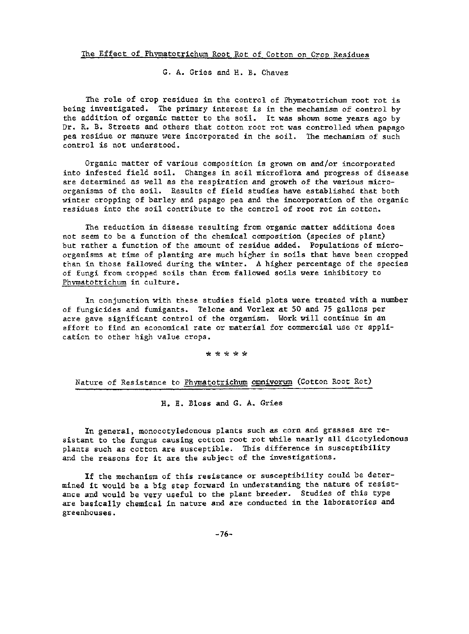G. A. Gries and H. B. Chavez

The role of crop residues in the control of Phymatotrichum root rot is being investigated. The primary interest is in the mechanism of control by the addition of organic matter to the soil. It was shown some years ago by Dr. R. B. Streets and others that cotton root rot was controlled when papago pea residue or manure were incorporated in the soil. The mechanism of such control is not understood.

Organic matter of various composition is grown on and/or incorporated into infested field soil. Changes in soil microflora and progress of disease are determined as well as the respiration and growth of the various micro~ organisms of the soil. Results of field studies have established that both winter cropping of barley and papago pea and the incorporation of the organic residues into the soil contribute to the control of root rot in cotton.

The reduction in disease resulting from organic matter additions does not seem to be a function of the chemical composition (species of plant) but rather a function of the amount of residue added. Populations of microorganisms at time of planting are much hizher in soils that have been cropped than in those fallowed during the winter. A higher percentage of the species of fungi from cropped soils than from fallowed soils were inhibitory to Phvrnatotrichum in culture.

In conjunction with these studies field plots were treated with a number of fungicides and fumigants. Telone and Vorlex at 50 and 75 gallons per acre gave significant control of the organism. Work will continue in an effort to find an economical rate or material for commercial use or application to other high value crops.

\* \* \* \* \*

Nature of Resistance to Phymatotrichum omnivorum (Cotton Root Rot)

H. E. Bloss and G. A. Gries

In general, monocotyledonous plants such as corn and grasses are resistant to the fungus causing cotton root rot while nearly all dicotyledonous plants such as cotton are susceptible. This difference in susceptibility and the reasons for it are the subject of the investigations.

If the mechanism of this resistance or susceptibility could be determined it would be a big step forward in understanding the nature of resistance and would be very useful to the plant breeder. Studies of this type are basically chemical in nature and are conducted in the laboratories and greenhouses.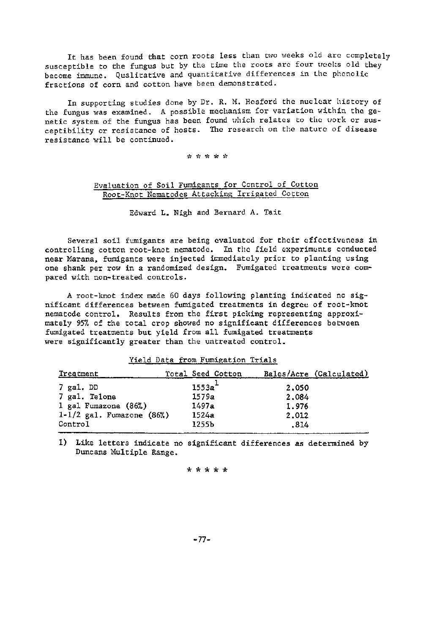It has been found that corn roots less than two weeks old are completely susceptible to the fungus but by the time the roots are four weeks old they become immune. Qualitative and quantitative differences in the phenolic fractions of corn and cotton have been demonstrated.

In supporting studies done by Dr. R. H. Hosford the nuclear history of the fungus was examined. A possible mechanism for variation within the genetic system of the fungus has been found which relates to the work or susceptibility or resistance of hosts. The research on the nature of disease resistance will be continued.

#### \*\*\*\*\*

# Evaluation of Soil Fumigants for Control of Cotton Root-Knot Nematodes Attacking Irrigated Cotton

Edward **L.** Nigh and Bernard A. Tait

Several soil fumigants are being evaluated for their effectiveness in controlling cotton root-knot nematode. In the field experiments conducted near Marana, fumigants were injected immediately prior to planting using one shank per row in a randomized design. Fumigated treatments were compared with non-treated controls.

A root-knot index made 60 days following planting indicated no significant differences between fumigated treatments in degree of root-knot nematode control. Results from the first picking representing approximately 95% of the total crop showed no significant differences between fumigated treatments but yield from all fumigated treatments were significantly greater than the untreated control.

| Treatment                       | Total Seed Cotton |       | Bales/Acre (Calculated) |
|---------------------------------|-------------------|-------|-------------------------|
| $7$ gal. DD                     | 1553a             | 2,050 |                         |
| 7 gal. Telone                   | 1579a             | 2.084 |                         |
| 1 gal Fumazone (86%)            | 1497a             | 1.976 |                         |
| $1 - 1/2$ gal. Fumazone $(86%)$ | 1524a             | 2,012 |                         |
| Control                         | 1255b             | .814  |                         |
|                                 |                   |       |                         |

Yield Data from Fumigation Trials

1) Like letters indicate no significant differences as determined by Duncans Hultiple Range.

### \* \* \* \* \*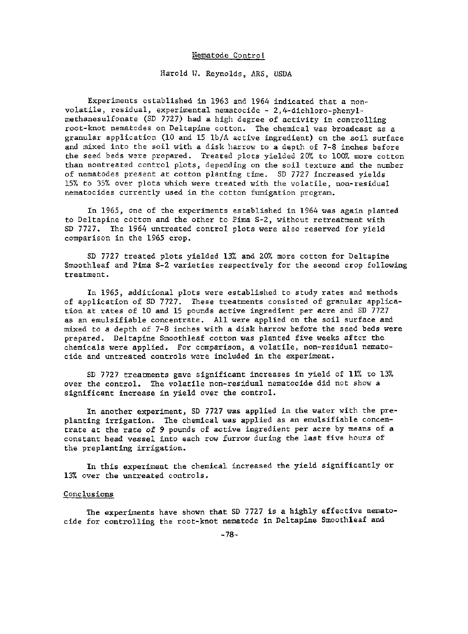### Nematode Control

Harold 11. Reynolds, *ARS,* USDA

Experiments established in 1963 and 1964 indicated that a non~ volatile, residual, experimental nematocide ~ 2,4~dichloro-phenyl~ methanesulfonate (SD 7727) had a high degree of activity in controlling root~knot nematodes on Deltapine cotton. The chemical was broadcast as a granular application (10 and 15 lb/A active ingredient) on the soil surface and mixed into the soil with a disk harrow to a depth of 7-8 inches before the seed beds were prepared. Treated plots yielded 20% to 100% more cotton than nontreated control plots, depending on the soil texture and the number of nematodes present at cotton planting time. SD 7727 increased yields 15% to 35% over plots which were treated with the volatile, non-residual nematocides currently used in the cotton fumigation program.

In 1965, one of the experiments established in 1964 was again planted to Deltapine cotton and the other to Pima 5-2, without retreatment with SD 7727. the 1964 untreated control plots were also reserved for yield comparison in the 1965 crop.

SD  $7727$  treated plots yielded 13% and 20% more cotton for Deltapine Smooth leaf and Pima S-2 varieties respectively for the second crop following treatment.

In 1965, additional plots were established to study rates and methods of application of SD 7727. These treatments consisted of granular application at rates of 10 and 15 pounds active ingredient per acre and SO 7727 as an emulsifiable concentrate. All were applied on the soil surface and mixed to a depth of 7-8 inches with a disk harrow before the seed beds were prepared. Deltapine Smoothleaf cotton was planted five weeks after the chemicals were applied. For comparison, a volatile, non-residual nematocide and untreated controls were included in the experiment.

SD 7727 treatments gave significant increases in yield of 11% to 13% over the control. 7he volatile non-residual nematocide did not show a significant increase in yield over the control.

In another experiment, SD 7727 was applied in the water with the preplanting irrigation. The chemical was applied as an emulsifiable concentrate at the rate of 9 pounds of active ingredient per acre by means of a constant head vessel into each row furrow during the last five hours of the preplanting irrigation.

In this experiment the chemical increased the yield significantly or 13% over the untreated controls.

#### Conclusions

The experiments have shown that SD 7727 is a highly effective nematocide for controlling the root-knot nematode in Deltapine Smoothleaf and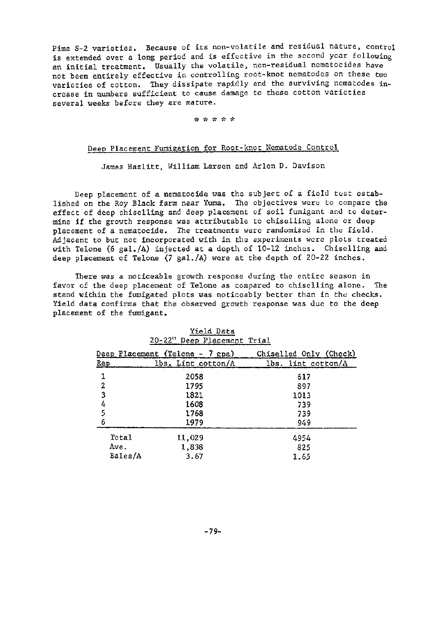Pima 3-2 varieties. Because of its non-volatile and residual nature, control is extended over a long period and is effective in the second year following an initial treatment. Usually the volatile, non-residual ncmatocides have not been entirely effective in controlling root-knot nematodes on these two varieties of cotton. They dissipate rapidly and the surviving nematodes increase in numbers sufficient to cause damage to these cotton varieties several weeks before they are mature.

### \* \* \* \* \*

# Deep Placement Fumigation for Root-knot Nematode Control

James Hazlitt, William Larsen and Arlen D. Davison

Deep placement of a nematocide was the subject of a field test established on the Roy Black farm near Yuma. The objectives were to compare the effect of deep chiselling and deep placement of soil fumigant and to determine if the grouth response was attributable to chiselling alone or deep placement of a nematocide. The treatments were randomized in the field. Adjacent to but not incorporated with in the experiments were plots treated with Telone (6 gal./A) injected at a depth of  $10-12$  inches. Chiselling and deep placement of Telone (7 gal./A) were at the depth of 20-22 inches.

There was a noticeable growth response during the entire season in favor of the deep placement of Telone as compared to chiselling alone. The stand within the fumigated plots was noticeably better than in the checks. Yield data confirms that the observed growth response was due to the deep placement of the fumigant.

|         | Deep Placement (Telone - 7 gpa) | Chiselled Only (Check) |
|---------|---------------------------------|------------------------|
| Rep     | lbs. Lint cotton/A              | lbs. lint cotton/A     |
|         | 2058                            | 617                    |
| 2       | 1795                            | 897                    |
| 3       | 1821                            | 1013                   |
|         | 1608                            | 739                    |
|         | 1768                            | 739                    |
| 6       | 1979                            | 949                    |
| Total   | 11,029                          | 4954                   |
| Ave.    | 1,838                           | 825                    |
| Bales/A | 3.67                            | 1.65                   |

# Yield Data 20-2211 Deep Placement Trial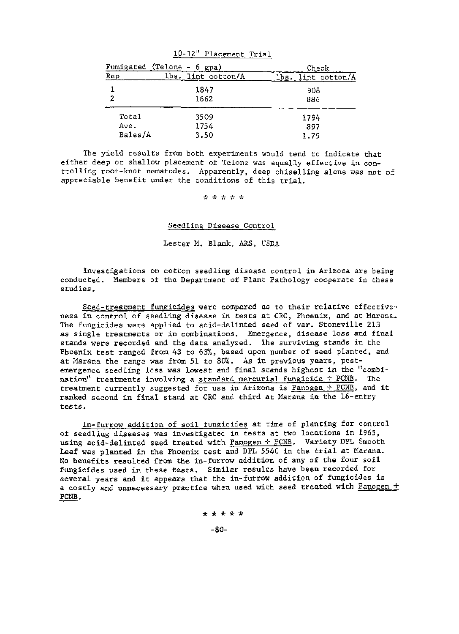|         | Fumigated (Telone - 6 gpa) | Check                 |
|---------|----------------------------|-----------------------|
| Rep     | lbs.<br>lint cotton/A      | lint cotton/A<br>lbs. |
| 1       | 1847                       | 908                   |
| 2       | 1662                       | 886                   |
| Total   | 3509                       | 1794                  |
| Ave.    | 1754                       | 897                   |
| Bales/A | 3.50                       | 1.79                  |
|         |                            |                       |

10-12" Placement Trial

The yield results from both experiments would tend to indicate that either deep or shallou placement of Telone was equally effective in controlling root-knot nematodes. Apparently, deep chiselling alone was not of appreciable benefit under the conditions of this trial.

\*\*~'~\*\*

Seedling Disease Control

Lester M. Blank, ARS, USDA

Investigations on cotton seedling disease control in Arizona are being conducted. Members of the Department of Plant Pathology cooperate in these studies.

Seed-treatment fungicides were compared as to their relative effectiveness in control of seedling disease in tests at CRC, Phoenix, and at Marana. The fungicides were applied to acid-delinted seed of var. Stoneville 213 as single treatments or in combinations. Emergence, disease loss and final stands were recorded and the data analyzed. The surviving stands in the Phoenix test ranged from 43 to 6Yk, based upon number of seed planted, and at Marana the range was from 51 to  $80\%$ . As in previous years, postemergence seedling loss was lowest and final stands highest in the "combination" treatments involving a standard mercurial fungicide + PCNB. The treatment currently suggested for use in Arizona is Panogen + PCNB, and it ranked second in final stand at CRC and third at Marana in the 16-entry tests.

In-furrow addition of soil fungicides at time of planting for control of seedling diseases was investigated in tests at two locations in 1965, using acid-delinted seed treated with Panogen  $\div$  PCNB. Variety DPL Smooth Leaf was planted in the Phoenix test and DPL 5540 in the trial at Marana. No benefits resulted from the in-furrow addition of any of the four soil fungicides used in these tests. Similar results have been recorded for several years and it appears that the in-furrow addition of fungicides is a costly and unnecessary practice when used with seed treated with Panogen + PCNB.

> \* \* \* \* \* -80-